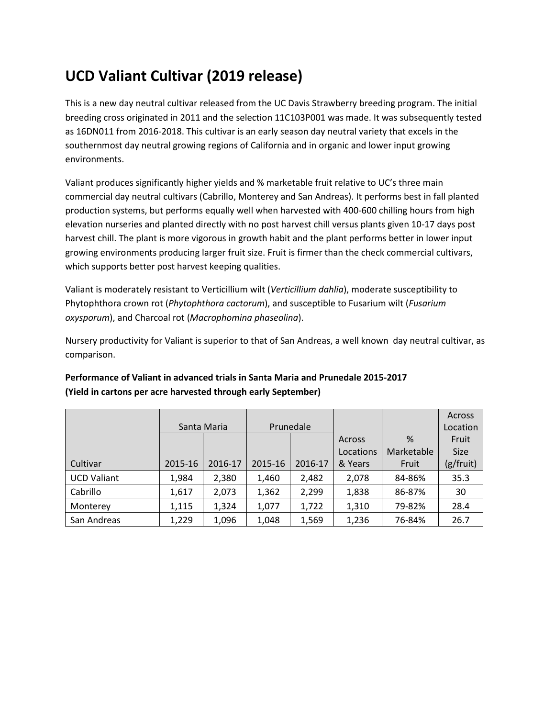# **UCD Valiant Cultivar (2019 release)**

This is a new day neutral cultivar released from the UC Davis Strawberry breeding program. The initial breeding cross originated in 2011 and the selection 11C103P001 was made. It was subsequently tested as 16DN011 from 2016-2018. This cultivar is an early season day neutral variety that excels in the southernmost day neutral growing regions of California and in organic and lower input growing environments.

Valiant produces significantly higher yields and % marketable fruit relative to UC's three main commercial day neutral cultivars (Cabrillo, Monterey and San Andreas). It performs best in fall planted production systems, but performs equally well when harvested with 400-600 chilling hours from high elevation nurseries and planted directly with no post harvest chill versus plants given 10-17 days post harvest chill. The plant is more vigorous in growth habit and the plant performs better in lower input growing environments producing larger fruit size. Fruit is firmer than the check commercial cultivars, which supports better post harvest keeping qualities.

Valiant is moderately resistant to Verticillium wilt (*Verticillium dahlia*), moderate susceptibility to Phytophthora crown rot (*Phytophthora cactorum*), and susceptible to Fusarium wilt (*Fusarium oxysporum*), and Charcoal rot (*Macrophomina phaseolina*).

Nursery productivity for Valiant is superior to that of San Andreas, a well known day neutral cultivar, as comparison.

|                    |             |         |           |         |           |               | Across      |
|--------------------|-------------|---------|-----------|---------|-----------|---------------|-------------|
|                    | Santa Maria |         | Prunedale |         |           |               | Location    |
|                    |             |         |           |         | Across    | $\frac{9}{6}$ | Fruit       |
|                    |             |         |           |         | Locations | Marketable    | <b>Size</b> |
| Cultivar           | 2015-16     | 2016-17 | 2015-16   | 2016-17 | & Years   | Fruit         | (g/fruit)   |
| <b>UCD Valiant</b> | 1,984       | 2,380   | 1,460     | 2,482   | 2,078     | 84-86%        | 35.3        |
| Cabrillo           | 1,617       | 2,073   | 1,362     | 2,299   | 1,838     | 86-87%        | 30          |
| Monterey           | 1,115       | 1,324   | 1,077     | 1,722   | 1,310     | 79-82%        | 28.4        |
| San Andreas        | 1,229       | 1,096   | 1,048     | 1,569   | 1,236     | 76-84%        | 26.7        |

## **Performance of Valiant in advanced trials in Santa Maria and Prunedale 2015-2017 (Yield in cartons per acre harvested through early September)**